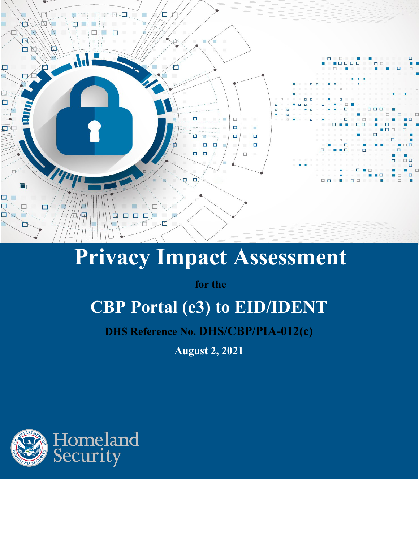

# **Privacy Impact Assessment**

**for the**

## **CBP Portal (e3) to EID/IDENT**

**DHS Reference No. DHS/CBP/PIA-012(c)**

**August 2, 2021**

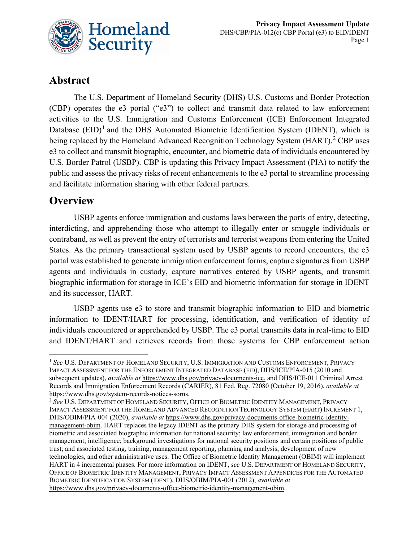

## **Abstract**

The U.S. Department of Homeland Security (DHS) U.S. Customs and Border Protection (CBP) operates the e3 portal ("e3") to collect and transmit data related to law enforcement activities to the U.S. Immigration and Customs Enforcement (ICE) Enforcement Integrated Database  $(EID)^1$  $(EID)^1$  and the DHS Automated Biometric Identification System (IDENT), which is being replaced by the Homeland Advanced Recognition Technology System (HART).<sup>[2](#page-1-1)</sup> CBP uses e3 to collect and transmit biographic, encounter, and biometric data of individuals encountered by U.S. Border Patrol (USBP). CBP is updating this Privacy Impact Assessment (PIA) to notify the public and assess the privacy risks of recent enhancements to the e3 portal to streamline processing and facilitate information sharing with other federal partners.

## **Overview**

USBP agents enforce immigration and customs laws between the ports of entry, detecting, interdicting, and apprehending those who attempt to illegally enter or smuggle individuals or contraband, as well as prevent the entry of terrorists and terrorist weapons from entering the United States. As the primary transactional system used by USBP agents to record encounters, the e3 portal was established to generate immigration enforcement forms, capture signatures from USBP agents and individuals in custody, capture narratives entered by USBP agents, and transmit biographic information for storage in ICE's EID and biometric information for storage in IDENT and its successor, HART.

USBP agents use e3 to store and transmit biographic information to EID and biometric information to IDENT/HART for processing, identification, and verification of identity of individuals encountered or apprehended by USBP. The e3 portal transmits data in real-time to EID and IDENT/HART and retrieves records from those systems for CBP enforcement action

<span id="page-1-0"></span><sup>&</sup>lt;sup>1</sup> See U.S. DEPARTMENT OF HOMELAND SECURITY, U.S. IMMIGRATION AND CUSTOMS ENFORCEMENT, PRIVACY IMPACT ASSESSMENT FOR THE ENFORCEMENT INTEGRATED DATABASE (EID), DHS/ICE/PIA-015 (2010 and subsequent updates), *available at* [https://www.dhs.gov/privacy-documents-ice,](https://www.dhs.gov/privacy-documents-ice) and DHS/ICE-011 Criminal Arrest Records and Immigration Enforcement Records (CARIER), 81 Fed. Reg. 72080 (October 19, 2016), *available at* [https://www.dhs.gov/system-records-notices-sorns.](https://www.dhs.gov/system-records-notices-sorns)

<span id="page-1-1"></span><sup>2</sup> *See* U.S. DEPARTMENT OF HOMELAND SECURITY, OFFICE OF BIOMETRIC IDENTITY MANAGEMENT, PRIVACY IMPACT ASSESSMENT FOR THE HOMELAND ADVANCED RECOGNITION TECHNOLOGY SYSTEM (HART) INCREMENT 1, DHS/OBIM/PIA-004 (2020), *available at* [https://www.dhs.gov/privacy-documents-office-biometric-identity](https://www.dhs.gov/privacy-documents-office-biometric-identity-management-obim)[management-obim.](https://www.dhs.gov/privacy-documents-office-biometric-identity-management-obim) HART replaces the legacy IDENT as the primary DHS system for storage and processing of biometric and associated biographic information for national security; law enforcement; immigration and border management; intelligence; background investigations for national security positions and certain positions of public trust; and associated testing, training, management reporting, planning and analysis, development of new technologies, and other administrative uses. The Office of Biometric Identity Management (OBIM) will implement HART in 4 incremental phases. For more information on IDENT, *see* U.S. DEPARTMENT OF HOMELAND SECURITY, OFFICE OF BIOMETRIC IDENTITY MANAGEMENT, PRIVACY IMPACT ASSESSMENT APPENDICES FOR THE AUTOMATED BIOMETRIC IDENTIFICATION SYSTEM (IDENT), DHS/OBIM/PIA-001 (2012), *available at* https://www.dhs.gov/privacy-documents-office-biometric-identity-management-obim.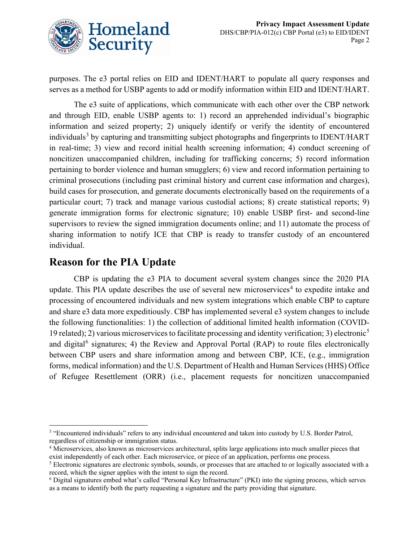

purposes. The e3 portal relies on EID and IDENT/HART to populate all query responses and serves as a method for USBP agents to add or modify information within EID and IDENT/HART.

The e3 suite of applications, which communicate with each other over the CBP network and through EID, enable USBP agents to: 1) record an apprehended individual's biographic information and seized property; 2) uniquely identify or verify the identity of encountered individuals<sup>[3](#page-2-0)</sup> by capturing and transmitting subject photographs and fingerprints to IDENT/HART in real-time; 3) view and record initial health screening information; 4) conduct screening of noncitizen unaccompanied children, including for trafficking concerns; 5) record information pertaining to border violence and human smugglers; 6) view and record information pertaining to criminal prosecutions (including past criminal history and current case information and charges), build cases for prosecution, and generate documents electronically based on the requirements of a particular court; 7) track and manage various custodial actions; 8) create statistical reports; 9) generate immigration forms for electronic signature; 10) enable USBP first- and second-line supervisors to review the signed immigration documents online; and 11) automate the process of sharing information to notify ICE that CBP is ready to transfer custody of an encountered individual.

## **Reason for the PIA Update**

CBP is updating the e3 PIA to document several system changes since the 2020 PIA update. This PIA update describes the use of several new microservices<sup>[4](#page-2-1)</sup> to expedite intake and processing of encountered individuals and new system integrations which enable CBP to capture and share e3 data more expeditiously. CBP has implemented several e3 system changes to include the following functionalities: 1) the collection of additional limited health information (COVID-19 related); 2) various microservices to facilitate processing and identity verification; 3) electronic<sup>[5](#page-2-2)</sup> and digital<sup>[6](#page-2-3)</sup> signatures; 4) the Review and Approval Portal (RAP) to route files electronically between CBP users and share information among and between CBP, ICE, (e.g., immigration forms, medical information) and the U.S. Department of Health and Human Services (HHS) Office of Refugee Resettlement (ORR) (i.e., placement requests for noncitizen unaccompanied

<span id="page-2-2"></span><span id="page-2-1"></span><span id="page-2-0"></span><sup>&</sup>lt;sup>3</sup> "Encountered individuals" refers to any individual encountered and taken into custody by U.S. Border Patrol, regardless of citizenship or immigration status.

<span id="page-2-3"></span><sup>4</sup> Microservices, also known as microservices architectural, splits large applications into much smaller pieces that exist independently of each other. Each microservice, or piece of an application, performs one process.

<span id="page-2-4"></span><sup>5</sup> Electronic signatures are electronic symbols, sounds, or processes that are attached to or logically associated with a record, which the signer applies with the intent to sign the record.

<sup>6</sup> Digital signatures embed what's called "Personal Key Infrastructure" (PKI) into the signing process, which serves as a means to identify both the party requesting a signature and the party providing that signature.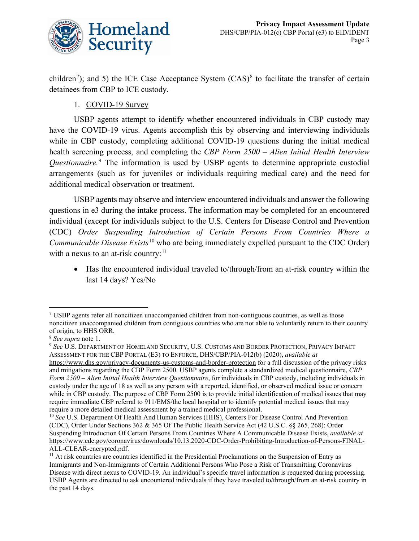

children<sup>[7](#page-2-4)</sup>); and 5) the ICE Case Acceptance System  $(CAS)^8$  $(CAS)^8$  to facilitate the transfer of certain detainees from CBP to ICE custody.

1. COVID-19 Survey

USBP agents attempt to identify whether encountered individuals in CBP custody may have the COVID-19 virus. Agents accomplish this by observing and interviewing individuals while in CBP custody, completing additional COVID-19 questions during the initial medical health screening process, and completing the *CBP Form 2500 – Alien Initial Health Interview Questionnaire.* [9](#page-3-1) The information is used by USBP agents to determine appropriate custodial arrangements (such as for juveniles or individuals requiring medical care) and the need for additional medical observation or treatment.

USBP agents may observe and interview encountered individuals and answer the following questions in e3 during the intake process. The information may be completed for an encountered individual (except for individuals subject to the U.S. Centers for Disease Control and Prevention (CDC) *Order Suspending Introduction of Certain Persons From Countries Where a Communicable Disease Exists*<sup>[10](#page-3-2)</sup> who are being immediately expelled pursuant to the CDC Order) with a nexus to an at-risk country:<sup>[11](#page-3-3)</sup>

• Has the encountered individual traveled to/through/from an at-risk country within the last 14 days? Yes/No

 $\frac{7}{1}$  USBP agents refer all noncitizen unaccompanied children from non-contiguous countries, as well as those noncitizen unaccompanied children from contiguous countries who are not able to voluntarily return to their country of origin, to HHS ORR.

<span id="page-3-0"></span><sup>8</sup> *See supra* note 1.

<span id="page-3-1"></span><sup>9</sup> *See* U.S. DEPARTMENT OF HOMELAND SECURITY, U.S. CUSTOMS AND BORDER PROTECTION, PRIVACY IMPACT ASSESSMENT FOR THE CBP PORTAL (E3) TO ENFORCE, DHS/CBP/PIA-012(b) (2020), *available at*  https://www.dhs.gov/privacy-documents-us-customs-and-border-protection for a full discussion of the privacy risks and mitigations regarding the CBP Form 2500. USBP agents complete a standardized medical questionnaire, *CBP Form 2500 – Alien Initial Health Interview Questionnaire*, for individuals in CBP custody, including individuals in custody under the age of 18 as well as any person with a reported, identified, or observed medical issue or concern while in CBP custody. The purpose of CBP Form 2500 is to provide initial identification of medical issues that may require immediate CBP referral to 911/EMS/the local hospital or to identify potential medical issues that may require a more detailed medical assessment by a trained medical professional.

<span id="page-3-2"></span><sup>&</sup>lt;sup>10</sup> See U.S. Department Of Health And Human Services (HHS), Centers For Disease Control And Prevention (CDC), Order Under Sections 362 & 365 Of The Public Health Service Act (42 U.S.C. §§ 265, 268): Order Suspending Introduction Of Certain Persons From Countries Where A Communicable Disease Exists, *available at*  [https://www.cdc.gov/coronavirus/downloads/10.13.2020-CDC-Order-Prohibiting-Introduction-of-Persons-FINAL-](https://www.cdc.gov/coronavirus/downloads/10.13.2020-CDC-Order-Prohibiting-Introduction-of-Persons-FINAL-ALL-CLEAR-encrypted.pdf)[ALL-CLEAR-encrypted.pdf.](https://www.cdc.gov/coronavirus/downloads/10.13.2020-CDC-Order-Prohibiting-Introduction-of-Persons-FINAL-ALL-CLEAR-encrypted.pdf)

<span id="page-3-3"></span><sup>&</sup>lt;sup>11</sup> At risk countries are countries identified in the Presidential Proclamations on the Suspension of Entry as Immigrants and Non-Immigrants of Certain Additional Persons Who Pose a Risk of Transmitting Coronavirus Disease with direct nexus to COVID-19. An individual's specific travel information is requested during processing. USBP Agents are directed to ask encountered individuals if they have traveled to/through/from an at-risk country in the past 14 days.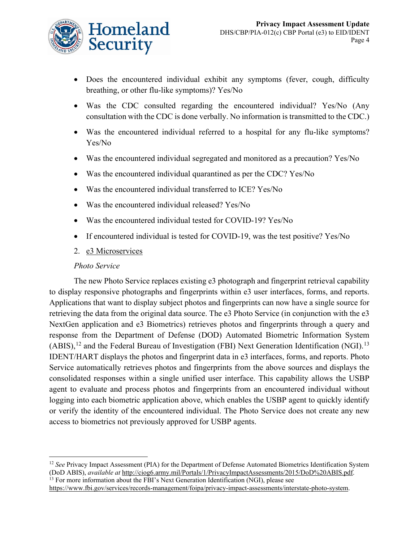

- Does the encountered individual exhibit any symptoms (fever, cough, difficulty breathing, or other flu-like symptoms)? Yes/No
- Was the CDC consulted regarding the encountered individual? Yes/No (Any consultation with the CDC is done verbally. No information is transmitted to the CDC.)
- Was the encountered individual referred to a hospital for any flu-like symptoms? Yes/No
- Was the encountered individual segregated and monitored as a precaution? Yes/No
- Was the encountered individual quarantined as per the CDC? Yes/No
- Was the encountered individual transferred to ICE? Yes/No
- Was the encountered individual released? Yes/No
- Was the encountered individual tested for COVID-19? Yes/No
- If encountered individual is tested for COVID-19, was the test positive? Yes/No
- 2. e3 Microservices

#### *Photo Service*

The new Photo Service replaces existing e3 photograph and fingerprint retrieval capability to display responsive photographs and fingerprints within e3 user interfaces, forms, and reports. Applications that want to display subject photos and fingerprints can now have a single source for retrieving the data from the original data source. The e3 Photo Service (in conjunction with the e3 NextGen application and e3 Biometrics) retrieves photos and fingerprints through a query and response from the Department of Defense (DOD) Automated Biometric Information System (ABIS),<sup>[12](#page-4-0)</sup> and the Federal Bureau of Investigation (FBI) Next Generation Identification (NGI).<sup>[13](#page-4-1)</sup> IDENT/HART displays the photos and fingerprint data in e3 interfaces, forms, and reports. Photo Service automatically retrieves photos and fingerprints from the above sources and displays the consolidated responses within a single unified user interface. This capability allows the USBP agent to evaluate and process photos and fingerprints from an encountered individual without logging into each biometric application above, which enables the USBP agent to quickly identify or verify the identity of the encountered individual. The Photo Service does not create any new access to biometrics not previously approved for USBP agents.

<span id="page-4-1"></span><sup>13</sup> For more information about the FBI's Next Generation Identification (NGI), please see

<span id="page-4-0"></span><sup>&</sup>lt;sup>12</sup> See Privacy Impact Assessment (PIA) for the Department of Defense Automated Biometrics Identification System (DoD ABIS), *available at* [http://ciog6.army.mil/Portals/1/PrivacyImpactAssessments/2015/DoD%20ABIS.pdf.](http://ciog6.army.mil/Portals/1/PrivacyImpactAssessments/2015/DoD%20ABIS.pdf)

[https://www.fbi.gov/services/records-management/foipa/privacy-impact-assessments/interstate-photo-system.](https://www.fbi.gov/services/records-management/foipa/privacy-impact-assessments/interstate-photo-system)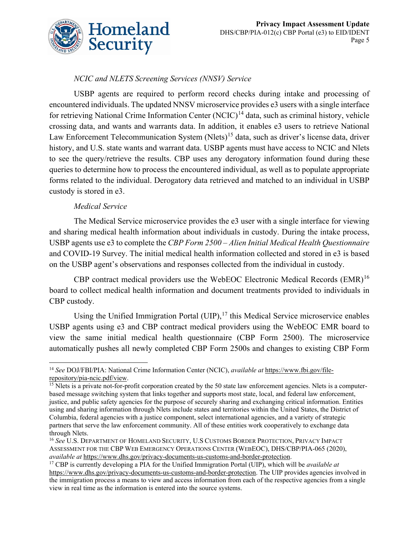

## *NCIC and NLETS Screening Services (NNSV) Service*

USBP agents are required to perform record checks during intake and processing of encountered individuals. The updated NNSV microservice provides e3 users with a single interface for retrieving National Crime Information Center (NCIC)<sup>[14](#page-5-0)</sup> data, such as criminal history, vehicle crossing data, and wants and warrants data. In addition, it enables e3 users to retrieve National Law Enforcement Telecommunication System (Nlets)<sup>[15](#page-5-1)</sup> data, such as driver's license data, driver history, and U.S. state wants and warrant data. USBP agents must have access to NCIC and Nlets to see the query/retrieve the results. CBP uses any derogatory information found during these queries to determine how to process the encountered individual, as well as to populate appropriate forms related to the individual. Derogatory data retrieved and matched to an individual in USBP custody is stored in e3.

#### *Medical Service*

The Medical Service microservice provides the e3 user with a single interface for viewing and sharing medical health information about individuals in custody. During the intake process, USBP agents use e3 to complete the *CBP Form 2500 – Alien Initial Medical Health Questionnaire* and COVID-19 Survey. The initial medical health information collected and stored in e3 is based on the USBP agent's observations and responses collected from the individual in custody.

CBP contract medical providers use the WebEOC Electronic Medical Records (EMR)<sup>[16](#page-5-2)</sup> board to collect medical health information and document treatments provided to individuals in CBP custody.

Using the Unified Immigration Portal (UIP),<sup>[17](#page-5-3)</sup> this Medical Service microservice enables USBP agents using e3 and CBP contract medical providers using the WebEOC EMR board to view the same initial medical health questionnaire (CBP Form 2500). The microservice automatically pushes all newly completed CBP Form 2500s and changes to existing CBP Form

<span id="page-5-0"></span><sup>14</sup> *See* DOJ/FBI/PIA: National Crime Information Center (NCIC), *available at* [https://www.fbi.gov/file](https://www.fbi.gov/file-repository/pia-ncic.pdf/view)[repository/pia-ncic.pdf/view.](https://www.fbi.gov/file-repository/pia-ncic.pdf/view)

<span id="page-5-1"></span> $\frac{15}{15}$  Nlets is a private not-for-profit corporation created by the 50 state law enforcement agencies. Nlets is a computerbased message switching system that links together and supports most state, local, and federal law enforcement, justice, and public safety agencies for the purpose of securely sharing and exchanging critical information. Entities using and sharing information through Nlets include states and territories within the United States, the District of Columbia, federal agencies with a justice component, select international agencies, and a variety of strategic partners that serve the law enforcement community. All of these entities work cooperatively to exchange data through Nlets.

<span id="page-5-2"></span><sup>16</sup> *See* U.S. DEPARTMENT OF HOMELAND SECURITY, U.S CUSTOMS BORDER PROTECTION, PRIVACY IMPACT ASSESSMENT FOR THE CBP WEB EMERGENCY OPERATIONS CENTER (WEBEOC), DHS/CBP/PIA-065 (2020), *available at* [https://www.dhs.gov/privacy-documents-us-customs-and-border-protection.](https://www.dhs.gov/privacy-documents-us-customs-and-border-protection)

<span id="page-5-3"></span><sup>17</sup> CBP is currently developing a PIA for the Unified Immigration Portal (UIP), which will be *available at*  [https://www.dhs.gov/privacy-documents-us-customs-and-border-protection.](https://www.dhs.gov/privacy-documents-us-customs-and-border-protection) The UIP provides agencies involved in the immigration process a means to view and access information from each of the respective agencies from a single view in real time as the information is entered into the source systems.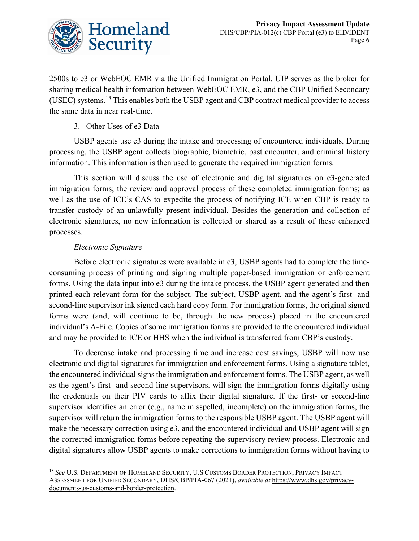

2500s to e3 or WebEOC EMR via the Unified Immigration Portal. UIP serves as the broker for sharing medical health information between WebEOC EMR, e3, and the CBP Unified Secondary (USEC) systems.<sup>[18](#page-6-0)</sup> This enables both the USBP agent and CBP contract medical provider to access the same data in near real-time.

## 3. Other Uses of e3 Data

USBP agents use e3 during the intake and processing of encountered individuals. During processing, the USBP agent collects biographic, biometric, past encounter, and criminal history information. This information is then used to generate the required immigration forms.

This section will discuss the use of electronic and digital signatures on e3-generated immigration forms; the review and approval process of these completed immigration forms; as well as the use of ICE's CAS to expedite the process of notifying ICE when CBP is ready to transfer custody of an unlawfully present individual. Besides the generation and collection of electronic signatures, no new information is collected or shared as a result of these enhanced processes.

## *Electronic Signature*

Before electronic signatures were available in e3, USBP agents had to complete the timeconsuming process of printing and signing multiple paper-based immigration or enforcement forms. Using the data input into e3 during the intake process, the USBP agent generated and then printed each relevant form for the subject. The subject, USBP agent, and the agent's first- and second-line supervisor ink signed each hard copy form. For immigration forms, the original signed forms were (and, will continue to be, through the new process) placed in the encountered individual's A-File. Copies of some immigration forms are provided to the encountered individual and may be provided to ICE or HHS when the individual is transferred from CBP's custody.

To decrease intake and processing time and increase cost savings, USBP will now use electronic and digital signatures for immigration and enforcement forms. Using a signature tablet, the encountered individual signs the immigration and enforcement forms. The USBP agent, as well as the agent's first- and second-line supervisors, will sign the immigration forms digitally using the credentials on their PIV cards to affix their digital signature. If the first- or second-line supervisor identifies an error (e.g., name misspelled, incomplete) on the immigration forms, the supervisor will return the immigration forms to the responsible USBP agent. The USBP agent will make the necessary correction using e3, and the encountered individual and USBP agent will sign the corrected immigration forms before repeating the supervisory review process. Electronic and digital signatures allow USBP agents to make corrections to immigration forms without having to

<span id="page-6-0"></span><sup>18</sup> *See* U.S. DEPARTMENT OF HOMELAND SECURITY, U.S CUSTOMS BORDER PROTECTION, PRIVACY IMPACT ASSESSMENT FOR UNIFIED SECONDARY, DHS/CBP/PIA-067 (2021), *available at* [https://www.dhs.gov/privacy](https://www.dhs.gov/privacy-documents-us-customs-and-border-protection)[documents-us-customs-and-border-protection.](https://www.dhs.gov/privacy-documents-us-customs-and-border-protection)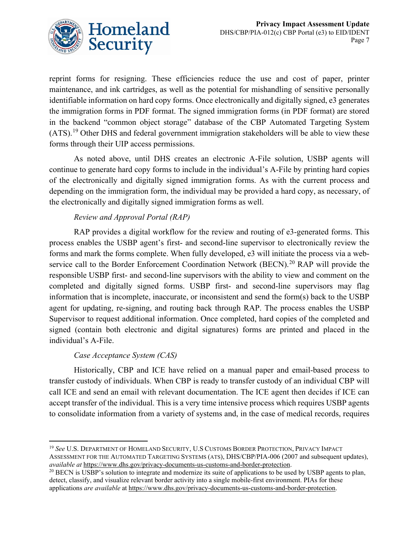

reprint forms for resigning. These efficiencies reduce the use and cost of paper, printer maintenance, and ink cartridges, as well as the potential for mishandling of sensitive personally identifiable information on hard copy forms. Once electronically and digitally signed, e3 generates the immigration forms in PDF format. The signed immigration forms (in PDF format) are stored in the backend "common object storage" database of the CBP Automated Targeting System  $(ATS).<sup>19</sup>$  $(ATS).<sup>19</sup>$  $(ATS).<sup>19</sup>$  Other DHS and federal government immigration stakeholders will be able to view these forms through their UIP access permissions.

As noted above, until DHS creates an electronic A-File solution, USBP agents will continue to generate hard copy forms to include in the individual's A-File by printing hard copies of the electronically and digitally signed immigration forms. As with the current process and depending on the immigration form, the individual may be provided a hard copy, as necessary, of the electronically and digitally signed immigration forms as well.

## *Review and Approval Portal (RAP)*

RAP provides a digital workflow for the review and routing of e3-generated forms. This process enables the USBP agent's first- and second-line supervisor to electronically review the forms and mark the forms complete. When fully developed, e3 will initiate the process via a web-service call to the Border Enforcement Coordination Network (BECN).<sup>[20](#page-7-1)</sup> RAP will provide the responsible USBP first- and second-line supervisors with the ability to view and comment on the completed and digitally signed forms. USBP first- and second-line supervisors may flag information that is incomplete, inaccurate, or inconsistent and send the form(s) back to the USBP agent for updating, re-signing, and routing back through RAP. The process enables the USBP Supervisor to request additional information. Once completed, hard copies of the completed and signed (contain both electronic and digital signatures) forms are printed and placed in the individual's A-File.

## *Case Acceptance System (CAS)*

Historically, CBP and ICE have relied on a manual paper and email-based process to transfer custody of individuals. When CBP is ready to transfer custody of an individual CBP will call ICE and send an email with relevant documentation. The ICE agent then decides if ICE can accept transfer of the individual. This is a very time intensive process which requires USBP agents to consolidate information from a variety of systems and, in the case of medical records, requires

<span id="page-7-0"></span><sup>19</sup> *See* U.S. DEPARTMENT OF HOMELAND SECURITY, U.S CUSTOMS BORDER PROTECTION, PRIVACY IMPACT ASSESSMENT FOR THE AUTOMATED TARGETING SYSTEMS (ATS), DHS/CBP/PIA-006 (2007 and subsequent updates), *available at* [https://www.dhs.gov/privacy-documents-us-customs-and-border-protection.](https://www.dhs.gov/privacy-documents-us-customs-and-border-protection)

<span id="page-7-1"></span><sup>&</sup>lt;sup>20</sup> BECN is USBP's solution to integrate and modernize its suite of applications to be used by USBP agents to plan, detect, classify, and visualize relevant border activity into a single mobile-first environment. PIAs for these applications *are available* at [https://www.dhs.gov/privacy-documents-us-customs-and-border-protection.](https://www.dhs.gov/privacy-documents-us-customs-and-border-protection)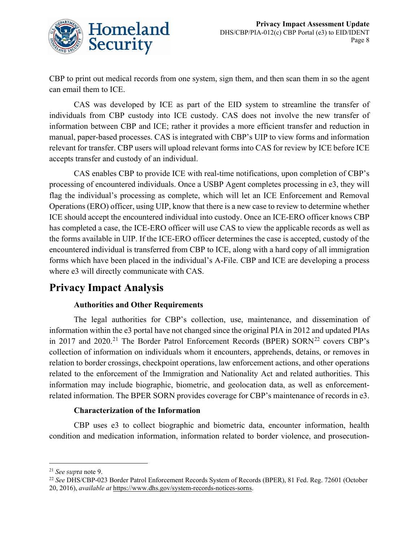

CBP to print out medical records from one system, sign them, and then scan them in so the agent can email them to ICE.

CAS was developed by ICE as part of the EID system to streamline the transfer of individuals from CBP custody into ICE custody. CAS does not involve the new transfer of information between CBP and ICE; rather it provides a more efficient transfer and reduction in manual, paper-based processes. CAS is integrated with CBP's UIP to view forms and information relevant for transfer. CBP users will upload relevant forms into CAS for review by ICE before ICE accepts transfer and custody of an individual.

CAS enables CBP to provide ICE with real-time notifications, upon completion of CBP's processing of encountered individuals. Once a USBP Agent completes processing in e3, they will flag the individual's processing as complete, which will let an ICE Enforcement and Removal Operations (ERO) officer, using UIP, know that there is a new case to review to determine whether ICE should accept the encountered individual into custody. Once an ICE-ERO officer knows CBP has completed a case, the ICE-ERO officer will use CAS to view the applicable records as well as the forms available in UIP. If the ICE-ERO officer determines the case is accepted, custody of the encountered individual is transferred from CBP to ICE, along with a hard copy of all immigration forms which have been placed in the individual's A-File. CBP and ICE are developing a process where e3 will directly communicate with CAS.

## **Privacy Impact Analysis**

## **Authorities and Other Requirements**

The legal authorities for CBP's collection, use, maintenance, and dissemination of information within the e3 portal have not changed since the original PIA in 2012 and updated PIAs in 2017 and 2020.<sup>[21](#page-8-0)</sup> The Border Patrol Enforcement Records (BPER) SORN<sup>[22](#page-8-1)</sup> covers CBP's collection of information on individuals whom it encounters, apprehends, detains, or removes in relation to border crossings, checkpoint operations, law enforcement actions, and other operations related to the enforcement of the Immigration and Nationality Act and related authorities. This information may include biographic, biometric, and geolocation data, as well as enforcementrelated information. The BPER SORN provides coverage for CBP's maintenance of records in e3.

## **Characterization of the Information**

CBP uses e3 to collect biographic and biometric data, encounter information, health condition and medication information, information related to border violence, and prosecution-

<span id="page-8-0"></span><sup>21</sup> *See sup*r*a* note 9.

<span id="page-8-1"></span><sup>22</sup> *See* DHS/CBP-023 Border Patrol Enforcement Records System of Records (BPER), 81 Fed. Reg. 72601 (October 20, 2016), *available at* [https://www.dhs.gov/system-records-notices-sorns.](https://www.dhs.gov/system-records-notices-sorns)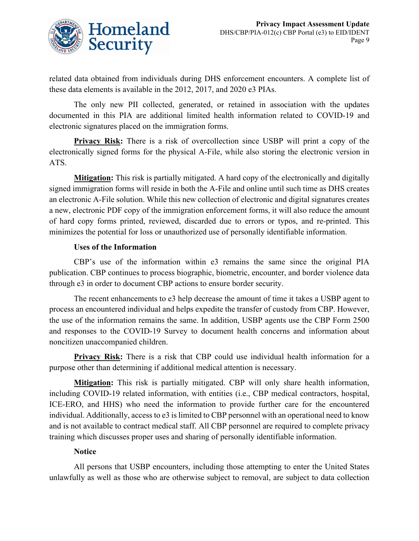

related data obtained from individuals during DHS enforcement encounters. A complete list of these data elements is available in the 2012, 2017, and 2020 e3 PIAs.

The only new PII collected, generated, or retained in association with the updates documented in this PIA are additional limited health information related to COVID-19 and electronic signatures placed on the immigration forms.

**Privacy Risk:** There is a risk of overcollection since USBP will print a copy of the electronically signed forms for the physical A-File, while also storing the electronic version in ATS.

**Mitigation:** This risk is partially mitigated. A hard copy of the electronically and digitally signed immigration forms will reside in both the A-File and online until such time as DHS creates an electronic A-File solution. While this new collection of electronic and digital signatures creates a new, electronic PDF copy of the immigration enforcement forms, it will also reduce the amount of hard copy forms printed, reviewed, discarded due to errors or typos, and re-printed. This minimizes the potential for loss or unauthorized use of personally identifiable information.

#### **Uses of the Information**

CBP's use of the information within e3 remains the same since the original PIA publication. CBP continues to process biographic, biometric, encounter, and border violence data through e3 in order to document CBP actions to ensure border security.

The recent enhancements to e3 help decrease the amount of time it takes a USBP agent to process an encountered individual and helps expedite the transfer of custody from CBP. However, the use of the information remains the same. In addition, USBP agents use the CBP Form 2500 and responses to the COVID-19 Survey to document health concerns and information about noncitizen unaccompanied children.

**Privacy Risk:** There is a risk that CBP could use individual health information for a purpose other than determining if additional medical attention is necessary.

**Mitigation:** This risk is partially mitigated. CBP will only share health information, including COVID-19 related information, with entities (i.e., CBP medical contractors, hospital, ICE-ERO, and HHS) who need the information to provide further care for the encountered individual. Additionally, access to e3 is limited to CBP personnel with an operational need to know and is not available to contract medical staff. All CBP personnel are required to complete privacy training which discusses proper uses and sharing of personally identifiable information.

## **Notice**

All persons that USBP encounters, including those attempting to enter the United States unlawfully as well as those who are otherwise subject to removal, are subject to data collection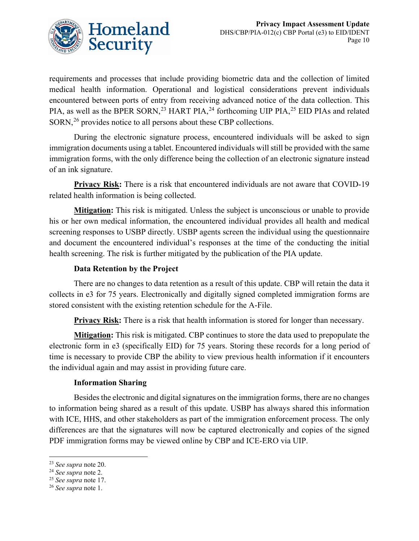

requirements and processes that include providing biometric data and the collection of limited medical health information. Operational and logistical considerations prevent individuals encountered between ports of entry from receiving advanced notice of the data collection. This PIA, as well as the BPER SORN,<sup>[23](#page-10-0)</sup> HART PIA,<sup>[24](#page-10-1)</sup> forthcoming UIP PIA,<sup>[25](#page-10-2)</sup> EID PIAs and related  $SORN<sub>1</sub><sup>26</sup>$  $SORN<sub>1</sub><sup>26</sup>$  $SORN<sub>1</sub><sup>26</sup>$  provides notice to all persons about these CBP collections.

During the electronic signature process, encountered individuals will be asked to sign immigration documents using a tablet. Encountered individuals will still be provided with the same immigration forms, with the only difference being the collection of an electronic signature instead of an ink signature.

**Privacy Risk:** There is a risk that encountered individuals are not aware that COVID-19 related health information is being collected.

**Mitigation:** This risk is mitigated. Unless the subject is unconscious or unable to provide his or her own medical information, the encountered individual provides all health and medical screening responses to USBP directly. USBP agents screen the individual using the questionnaire and document the encountered individual's responses at the time of the conducting the initial health screening. The risk is further mitigated by the publication of the PIA update.

## **Data Retention by the Project**

There are no changes to data retention as a result of this update. CBP will retain the data it collects in e3 for 75 years. Electronically and digitally signed completed immigration forms are stored consistent with the existing retention schedule for the A-File.

**Privacy Risk:** There is a risk that health information is stored for longer than necessary.

**Mitigation:** This risk is mitigated. CBP continues to store the data used to prepopulate the electronic form in e3 (specifically EID) for 75 years. Storing these records for a long period of time is necessary to provide CBP the ability to view previous health information if it encounters the individual again and may assist in providing future care.

## **Information Sharing**

Besides the electronic and digital signatures on the immigration forms, there are no changes to information being shared as a result of this update. USBP has always shared this information with ICE, HHS, and other stakeholders as part of the immigration enforcement process. The only differences are that the signatures will now be captured electronically and copies of the signed PDF immigration forms may be viewed online by CBP and ICE-ERO via UIP.

<span id="page-10-0"></span><sup>23</sup> *See supra* note 20.

<span id="page-10-1"></span><sup>24</sup> *See supra* note 2.

<span id="page-10-2"></span><sup>25</sup> *See supra* note 17.

<span id="page-10-3"></span><sup>26</sup> *See supra* note 1.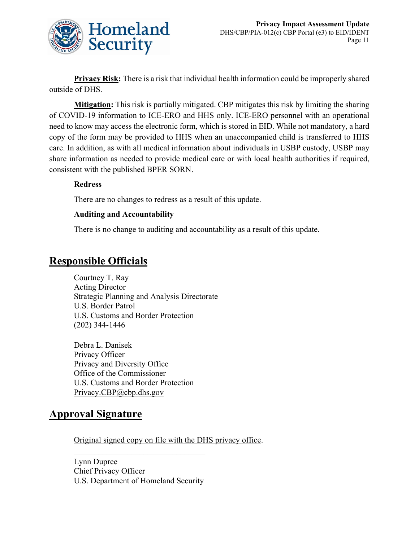

**Privacy Risk:** There is a risk that individual health information could be improperly shared outside of DHS.

**Mitigation:** This risk is partially mitigated. CBP mitigates this risk by limiting the sharing of COVID-19 information to ICE-ERO and HHS only. ICE-ERO personnel with an operational need to know may access the electronic form, which is stored in EID. While not mandatory, a hard copy of the form may be provided to HHS when an unaccompanied child is transferred to HHS care. In addition, as with all medical information about individuals in USBP custody, USBP may share information as needed to provide medical care or with local health authorities if required, consistent with the published BPER SORN.

## **Redress**

There are no changes to redress as a result of this update.

#### **Auditing and Accountability**

There is no change to auditing and accountability as a result of this update.

## **Responsible Officials**

Courtney T. Ray Acting Director Strategic Planning and Analysis Directorate U.S. Border Patrol U.S. Customs and Border Protection (202) 344-1446

Debra L. Danisek Privacy Officer Privacy and Diversity Office Office of the Commissioner U.S. Customs and Border Protection Privacy.CBP@cbp.dhs.gov

## **Approval Signature**

Original signed copy on file with the DHS privacy office.

Lynn Dupree Chief Privacy Officer U.S. Department of Homeland Security

 $\overline{\phantom{a}}$